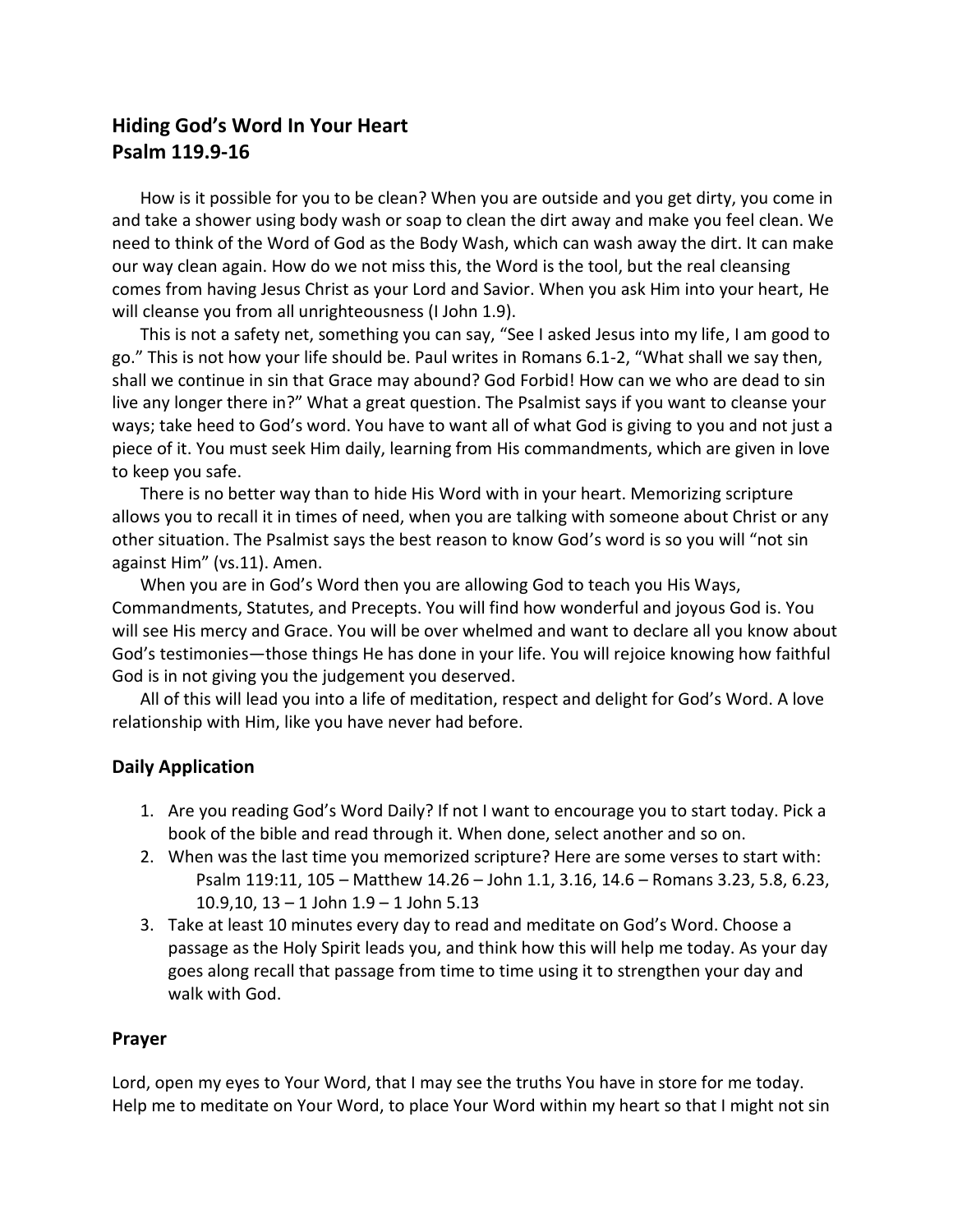## **Hiding God's Word In Your Heart Psalm 119.9-16**

How is it possible for you to be clean? When you are outside and you get dirty, you come in and take a shower using body wash or soap to clean the dirt away and make you feel clean. We need to think of the Word of God as the Body Wash, which can wash away the dirt. It can make our way clean again. How do we not miss this, the Word is the tool, but the real cleansing comes from having Jesus Christ as your Lord and Savior. When you ask Him into your heart, He will cleanse you from all unrighteousness (I John 1.9).

This is not a safety net, something you can say, "See I asked Jesus into my life, I am good to go." This is not how your life should be. Paul writes in Romans 6.1-2, "What shall we say then, shall we continue in sin that Grace may abound? God Forbid! How can we who are dead to sin live any longer there in?" What a great question. The Psalmist says if you want to cleanse your ways; take heed to God's word. You have to want all of what God is giving to you and not just a piece of it. You must seek Him daily, learning from His commandments, which are given in love to keep you safe.

There is no better way than to hide His Word with in your heart. Memorizing scripture allows you to recall it in times of need, when you are talking with someone about Christ or any other situation. The Psalmist says the best reason to know God's word is so you will "not sin against Him" (vs.11). Amen.

When you are in God's Word then you are allowing God to teach you His Ways, Commandments, Statutes, and Precepts. You will find how wonderful and joyous God is. You will see His mercy and Grace. You will be over whelmed and want to declare all you know about God's testimonies—those things He has done in your life. You will rejoice knowing how faithful God is in not giving you the judgement you deserved.

All of this will lead you into a life of meditation, respect and delight for God's Word. A love relationship with Him, like you have never had before.

## **Daily Application**

- 1. Are you reading God's Word Daily? If not I want to encourage you to start today. Pick a book of the bible and read through it. When done, select another and so on.
- 2. When was the last time you memorized scripture? Here are some verses to start with: Psalm 119:11, 105 – Matthew 14.26 – John 1.1, 3.16, 14.6 – Romans 3.23, 5.8, 6.23, 10.9,10, 13 – 1 John 1.9 – 1 John 5.13
- 3. Take at least 10 minutes every day to read and meditate on God's Word. Choose a passage as the Holy Spirit leads you, and think how this will help me today. As your day goes along recall that passage from time to time using it to strengthen your day and walk with God.

## **Prayer**

Lord, open my eyes to Your Word, that I may see the truths You have in store for me today. Help me to meditate on Your Word, to place Your Word within my heart so that I might not sin